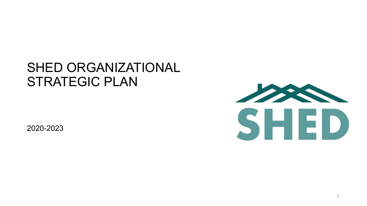#### SHED ORGANIZATIONAL STRATEGIC PLAN

2020-2023



1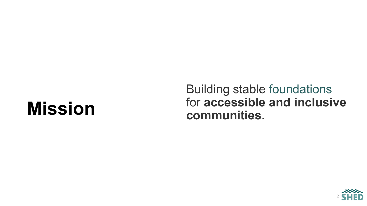# **Mission**

#### Building stable foundations for **accessible and inclusive communities.**

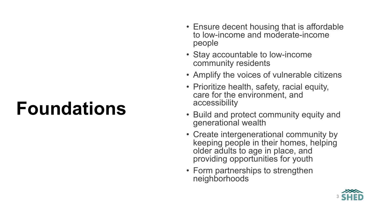# **Foundations**

- Ensure decent housing that is affordable to low-income and moderate-income people
- Stay accountable to low-income community residents
- Amplify the voices of vulnerable citizens
- Prioritize health, safety, racial equity, care for the environment, and accessibility
- Build and protect community equity and generational wealth
- Create intergenerational community by keeping people in their homes, helping older adults to age in place, and providing opportunities for youth
- Form partnerships to strengthen neighborhoods

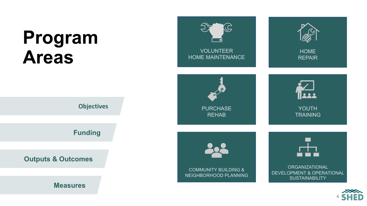# **Program Areas**





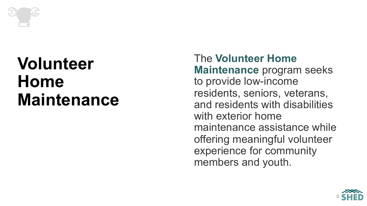

The **Volunteer Home Maintenance** program seeks to provide low-income residents, seniors, veterans, and residents with disabilities with exterior home maintenance assistance while offering meaningful volunteer experience for community members and youth.

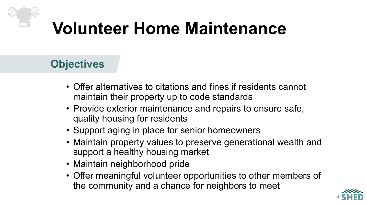- Offer alternatives to citations and fines if residents cannot maintain their property up to code standards
- Provide exterior maintenance and repairs to ensure safe, quality housing for residents
- Support aging in place for senior homeowners
- Maintain property values to preserve generational wealth and support a healthy housing market
- Maintain neighborhood pride
- Offer meaningful volunteer opportunities to other members of the community and a chance for neighbors to meet

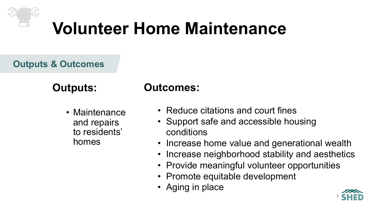#### **Outputs & Outcomes**

#### **Outputs:**

• Maintenance and repairs to residents' homes

- Reduce citations and court fines
- Support safe and accessible housing conditions
- Increase home value and generational wealth
- Increase neighborhood stability and aesthetics
- Provide meaningful volunteer opportunities
- Promote equitable development
- Aging in place

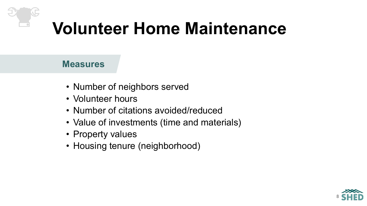- Number of neighbors served
- Volunteer hours
- Number of citations avoided/reduced
- Value of investments (time and materials)
- Property values
- Housing tenure (neighborhood)

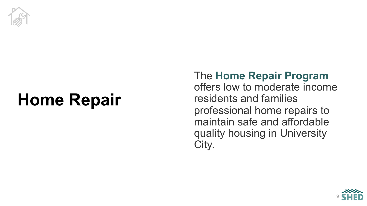

# **Home Repair**

#### The **Home Repair Program**  offers low to moderate income residents and families professional home repairs to maintain safe and affordable quality housing in University City.

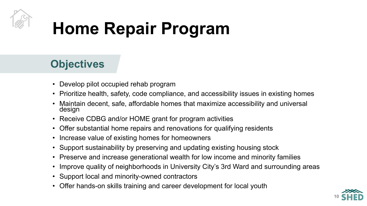

# **Home Repair Program**

- Develop pilot occupied rehab program
- Prioritize health, safety, code compliance, and accessibility issues in existing homes
- Maintain decent, safe, affordable homes that maximize accessibility and universal design
- Receive CDBG and/or HOME grant for program activities
- Offer substantial home repairs and renovations for qualifying residents
- Increase value of existing homes for homeowners
- Support sustainability by preserving and updating existing housing stock
- Preserve and increase generational wealth for low income and minority families
- Improve quality of neighborhoods in University City's 3rd Ward and surrounding areas
- Support local and minority-owned contractors
- Offer hands-on skills training and career development for local youth

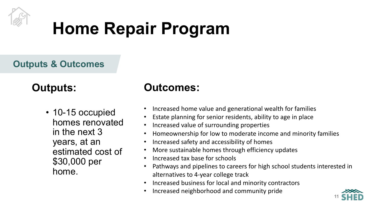

# **Home Repair Program**

**Outputs & Outcomes**

#### **Outputs:**

• 10-15 occupied homes renovated in the next 3 years, at an estimated cost of \$30,000 per home.

- Increased home value and generational wealth for families
- Estate planning for senior residents, ability to age in place
- Increased value of surrounding properties
- Homeownership for low to moderate income and minority families
- Increased safety and accessibility of homes
- More sustainable homes through efficiency updates
- Increased tax base for schools
- Pathways and pipelines to careers for high school students interested in alternatives to 4-year college track
- Increased business for local and minority contractors
- Increased neighborhood and community pride

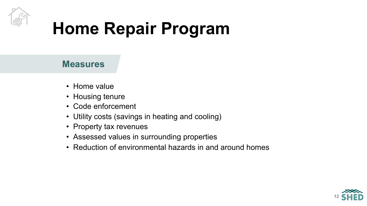

# **Home Repair Program**

- Home value
- Housing tenure
- Code enforcement
- Utility costs (savings in heating and cooling)
- Property tax revenues
- Assessed values in surrounding properties
- Reduction of environmental hazards in and around homes

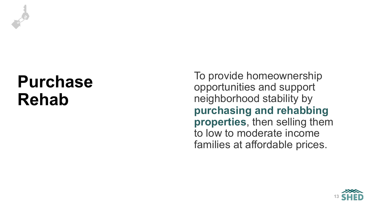

To provide homeownership opportunities and support neighborhood stability by **purchasing and rehabbing properties**, then selling them to low to moderate income families at affordable prices.

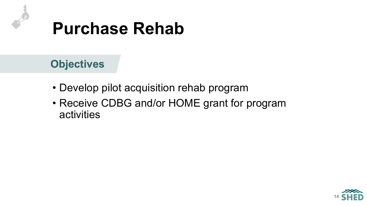

- Develop pilot acquisition rehab program
- Receive CDBG and/or HOME grant for program activities

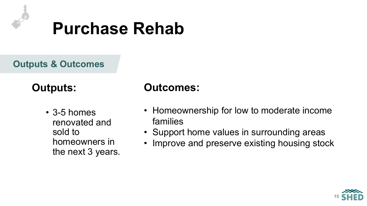

**Outputs & Outcomes**

#### **Outputs:**

• 3-5 homes renovated and sold to homeowners in the next 3 years.

- Homeownership for low to moderate income families
- Support home values in surrounding areas
- Improve and preserve existing housing stock

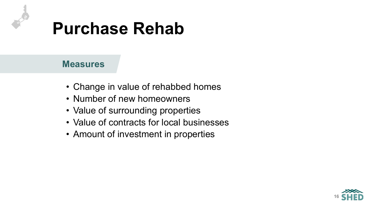

- Change in value of rehabbed homes
- Number of new homeowners
- Value of surrounding properties
- Value of contracts for local businesses
- Amount of investment in properties

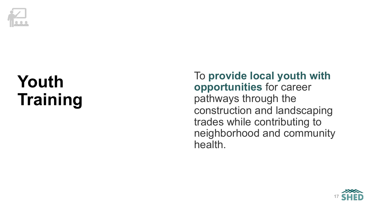

To **provide local youth with opportunities** for career pathways through the construction and landscaping trades while contributing to neighborhood and community health.

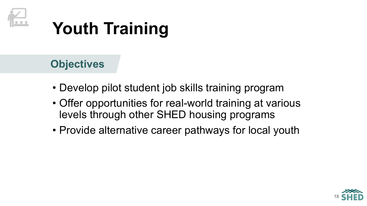

- Develop pilot student job skills training program
- Offer opportunities for real-world training at various levels through other SHED housing programs
- Provide alternative career pathways for local youth

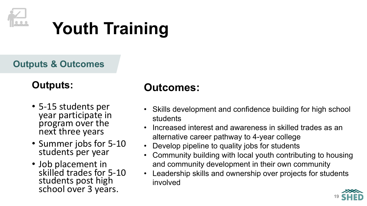

**Outputs & Outcomes**

#### **Outputs:**

- 5-15 students per year participate in program over the next three years
- Summer jobs for 5-10 students per year
- Job placement in skilled trades for 5-10 students post high school over 3 years.

- Skills development and confidence building for high school students
- Increased interest and awareness in skilled trades as an alternative career pathway to 4-year college
- Develop pipeline to quality jobs for students
- Community building with local youth contributing to housing and community development in their own community
- Leadership skills and ownership over projects for students involved

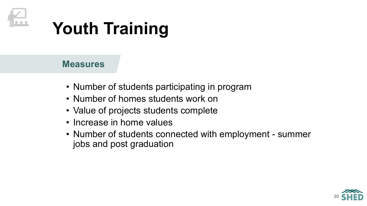

- Number of students participating in program
- Number of homes students work on
- Value of projects students complete
- Increase in home values
- Number of students connected with employment summer jobs and post graduation

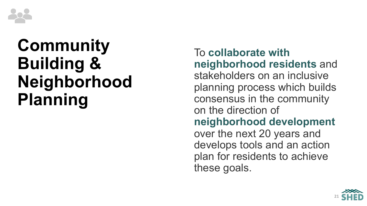

# **Community Building & Neighborhood Planning**

To **collaborate with neighborhood residents** and stakeholders on an inclusive planning process which builds consensus in the community on the direction of **neighborhood development**  over the next 20 years and develops tools and an action plan for residents to achieve these goals.

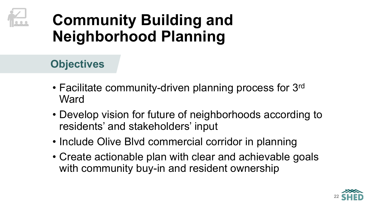

### **Community Building and Neighborhood Planning**

- Facilitate community-driven planning process for 3rd **Ward**
- Develop vision for future of neighborhoods according to residents' and stakeholders' input
- Include Olive Blvd commercial corridor in planning
- Create actionable plan with clear and achievable goals with community buy-in and resident ownership

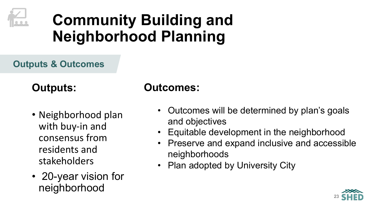

### **Community Building and Neighborhood Planning**

**Outputs & Outcomes**

#### **Outputs:**

- Neighborhood plan with buy-in and consensus from residents and stakeholders
- 20-year vision for neighborhood

- Outcomes will be determined by plan's goals and objectives
- Equitable development in the neighborhood
- Preserve and expand inclusive and accessible neighborhoods
- Plan adopted by University City

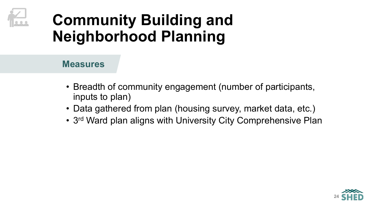### **Community Building and Neighborhood Planning**

- Breadth of community engagement (number of participants, inputs to plan)
- Data gathered from plan (housing survey, market data, etc.)
- 3<sup>rd</sup> Ward plan aligns with University City Comprehensive Plan

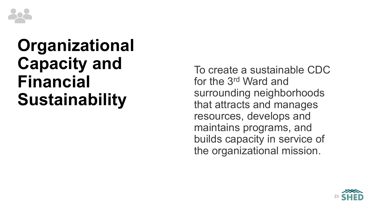

To create a sustainable CDC for the 3rd Ward and surrounding neighborhoods that attracts and manages resources, develops and maintains programs, and builds capacity in service of the organizational mission.

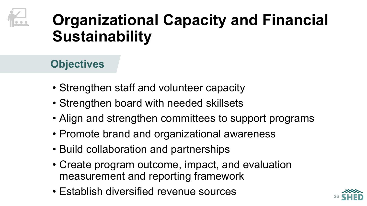

- Strengthen staff and volunteer capacity
- Strengthen board with needed skillsets
- Align and strengthen committees to support programs
- Promote brand and organizational awareness
- Build collaboration and partnerships
- Create program outcome, impact, and evaluation measurement and reporting framework
- Establish diversified revenue sources

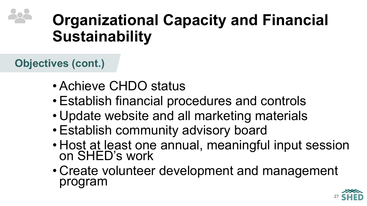**Objectives (cont.)**

- Achieve CHDO status
- Establish financial procedures and controls
- Update website and all marketing materials
- Establish community advisory board
- Host at least one annual, meaningful input session on SHED's work
- Create volunteer development and management program

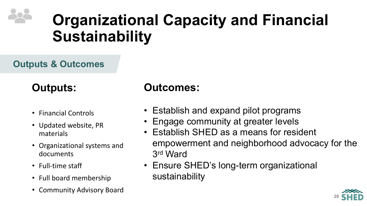#### **Outputs & Outcomes**

#### **Outputs:**

- Financial Controls
- Updated website, PR materials
- Organizational systems and documents
- Full-time staff
- Full board membership
- Community Advisory Board

- Establish and expand pilot programs
- Engage community at greater levels
- Establish SHED as a means for resident empowerment and neighborhood advocacy for the 3rd Ward
- Ensure SHED's long-term organizational sustainability